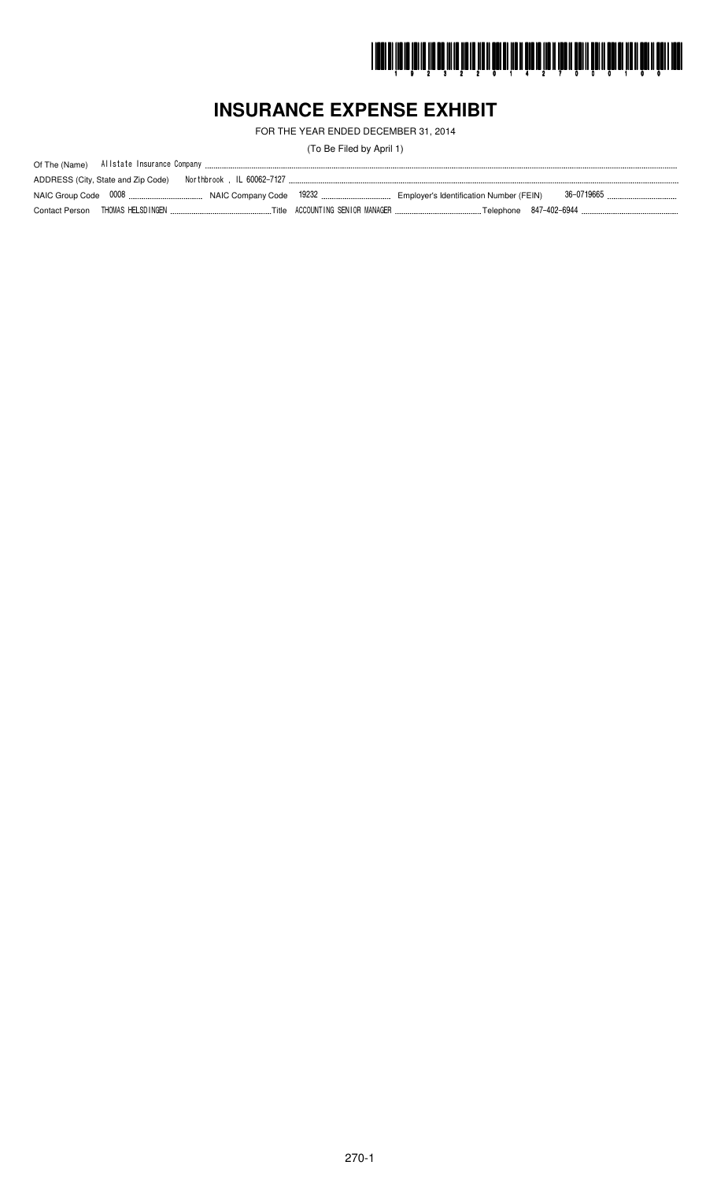

# **INSURANCE EXPENSE EXHIBIT**

FOR THE YEAR ENDED DECEMBER 31, 2014

(To Be Filed by April 1)

| ADDRESS (City, State and Zip Code) |  |  |
|------------------------------------|--|--|
|                                    |  |  |
| Contact Person THOMAS HELSDINGEN.  |  |  |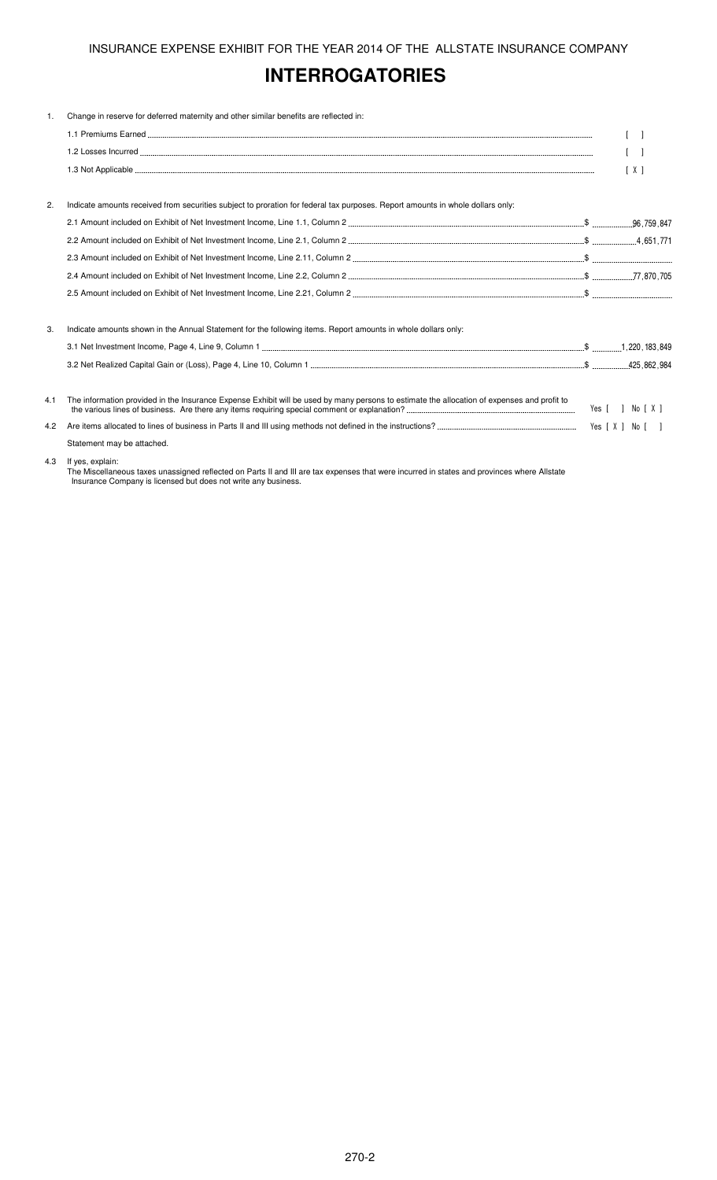# **INTERROGATORIES**

| 1.  | Change in reserve for deferred maternity and other similar benefits are reflected in:                                                       |                   |
|-----|---------------------------------------------------------------------------------------------------------------------------------------------|-------------------|
|     |                                                                                                                                             |                   |
|     |                                                                                                                                             |                   |
|     |                                                                                                                                             | $\lceil X \rceil$ |
| 2.  | Indicate amounts received from securities subject to proration for federal tax purposes. Report amounts in whole dollars only:              |                   |
|     |                                                                                                                                             |                   |
|     |                                                                                                                                             |                   |
|     |                                                                                                                                             |                   |
|     |                                                                                                                                             |                   |
|     |                                                                                                                                             |                   |
| 3.  | Indicate amounts shown in the Annual Statement for the following items. Report amounts in whole dollars only:                               |                   |
|     |                                                                                                                                             |                   |
|     |                                                                                                                                             |                   |
| 4.1 | The information provided in the Insurance Expense Exhibit will be used by many persons to estimate the allocation of expenses and profit to | Yes [ ] No [ X ]  |
| 4.2 |                                                                                                                                             |                   |
|     | Statement may be attached.                                                                                                                  |                   |
| 4.3 | If yes, explain:                                                                                                                            |                   |

The Miscellaneous taxes unassigned reflected on Parts II and III are tax expenses that were incurred in states and provinces where Allstate Insurance Company is licensed but does not write any business.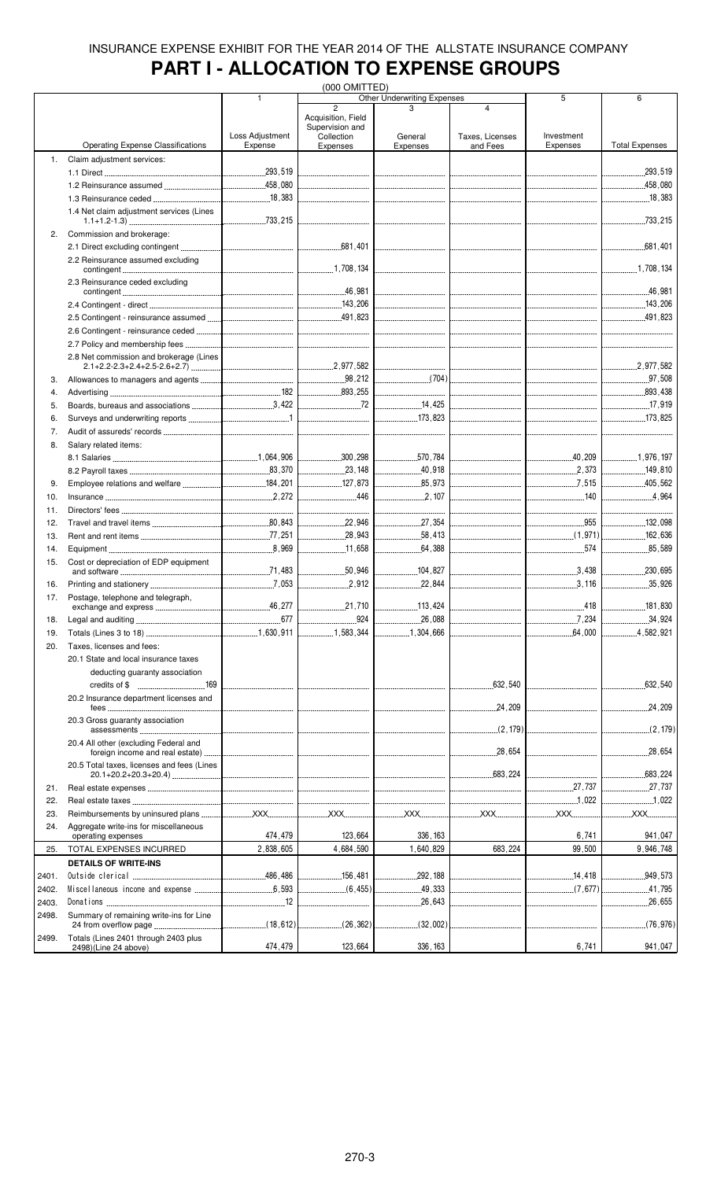# **PART I - ALLOCATION TO EXPENSE GROUPS**

|       |                                            |                 | (000 OMITTED)                        |                                    |                                         |                                 |                                                       |
|-------|--------------------------------------------|-----------------|--------------------------------------|------------------------------------|-----------------------------------------|---------------------------------|-------------------------------------------------------|
|       |                                            | 1               |                                      | <b>Other Underwriting Expenses</b> |                                         | 5                               | 6                                                     |
|       |                                            |                 | $\overline{2}$<br>Acquisition, Field |                                    | 4                                       |                                 |                                                       |
|       |                                            |                 | Supervision and                      |                                    |                                         |                                 |                                                       |
|       |                                            | Loss Adjustment | Collection                           | General                            | Taxes, Licenses                         | Investment                      |                                                       |
|       | <b>Operating Expense Classifications</b>   | Expense         | Expenses                             | Expenses                           | and Fees                                | Expenses                        | <b>Total Expenses</b>                                 |
| 1.    | Claim adjustment services:                 |                 |                                      |                                    |                                         |                                 |                                                       |
|       |                                            |                 |                                      |                                    |                                         |                                 | _______________________293 , 519                      |
|       |                                            |                 |                                      |                                    |                                         |                                 |                                                       |
|       |                                            |                 |                                      |                                    |                                         |                                 |                                                       |
|       |                                            |                 |                                      | ________________________________   | <br> ---------------------------------- |                                 |                                                       |
|       | 1.4 Net claim adjustment services (Lines   |                 |                                      |                                    |                                         |                                 |                                                       |
|       |                                            |                 |                                      |                                    |                                         |                                 |                                                       |
| 2.    | Commission and brokerage:                  |                 |                                      |                                    |                                         |                                 |                                                       |
|       |                                            |                 |                                      |                                    |                                         |                                 |                                                       |
|       | 2.2 Reinsurance assumed excluding          |                 |                                      |                                    |                                         |                                 |                                                       |
|       |                                            |                 |                                      |                                    |                                         |                                 |                                                       |
|       | 2.3 Reinsurance ceded excluding            |                 |                                      |                                    |                                         |                                 |                                                       |
|       |                                            |                 |                                      |                                    |                                         |                                 |                                                       |
|       |                                            |                 |                                      |                                    |                                         |                                 |                                                       |
|       |                                            |                 |                                      |                                    |                                         |                                 |                                                       |
|       |                                            |                 |                                      |                                    |                                         |                                 |                                                       |
|       |                                            |                 |                                      |                                    |                                         |                                 | <br> ----------------------------------               |
|       |                                            |                 |                                      |                                    |                                         |                                 | __________________________                            |
|       | 2.8 Net commission and brokerage (Lines    |                 |                                      |                                    |                                         |                                 |                                                       |
|       |                                            |                 |                                      |                                    |                                         |                                 |                                                       |
| 3.    |                                            |                 |                                      |                                    |                                         |                                 |                                                       |
|       |                                            |                 |                                      |                                    |                                         |                                 | $\begin{array}{ccc} \hline \ 1 & 893.438 \end{array}$ |
| 4.    |                                            |                 |                                      |                                    |                                         |                                 |                                                       |
| 5.    |                                            |                 | $\sim$ 72                            |                                    |                                         |                                 |                                                       |
| 6.    |                                            |                 |                                      |                                    |                                         |                                 |                                                       |
| 7.    |                                            |                 |                                      |                                    |                                         |                                 |                                                       |
|       |                                            |                 |                                      |                                    |                                         |                                 |                                                       |
| 8.    | Salary related items:                      |                 |                                      |                                    |                                         |                                 |                                                       |
|       |                                            |                 |                                      |                                    |                                         |                                 |                                                       |
|       |                                            |                 |                                      |                                    |                                         |                                 |                                                       |
| 9.    |                                            |                 | $\boxed{\qquad 127,873}$             | 85,973                             |                                         | 7.515                           | 1.1.1.405, 562                                        |
| 10.   |                                            |                 |                                      | 2,107                              |                                         |                                 | 4,964                                                 |
|       |                                            |                 |                                      |                                    |                                         |                                 |                                                       |
| 11.   |                                            |                 | --------------------------------     |                                    |                                         | ------------------------------  | ----------------------------                          |
| 12.   |                                            |                 | _____________________22 ,946         |                                    |                                         | 955                             | 132,098                                               |
| 13.   |                                            |                 | $\frac{1}{28}$ , 943                 | 58,413                             |                                         |                                 |                                                       |
| 14.   |                                            |                 | 11,658                               | .64,388<br>.                       |                                         | 574                             | 85,589<br>.                                           |
| 15.   | Cost or depreciation of EDP equipment      |                 |                                      |                                    |                                         |                                 |                                                       |
|       |                                            |                 |                                      |                                    |                                         |                                 | 230,695                                               |
| 16.   |                                            |                 | .2,912                               | .22,844<br>.                       | ------------------------------          | 3.116                           | 35,926                                                |
|       |                                            |                 |                                      |                                    |                                         |                                 |                                                       |
| 17.   | Postage, telephone and telegraph,          | .46,277         |                                      | 113,424                            |                                         | .418                            | 181,830                                               |
|       |                                            |                 |                                      |                                    |                                         |                                 |                                                       |
| 18.   |                                            | .677            | .924                                 | .26,088                            |                                         |                                 | 34,924                                                |
| 19.   |                                            |                 | 1,583,344                            | 1,304,666                          |                                         | 64,000<br>.                     | .4,582,921                                            |
| 20.   | Taxes, licenses and fees:                  |                 |                                      |                                    |                                         |                                 |                                                       |
|       | 20.1 State and local insurance taxes       |                 |                                      |                                    |                                         |                                 |                                                       |
|       | deducting guaranty association             |                 |                                      |                                    |                                         |                                 |                                                       |
|       |                                            |                 |                                      |                                    |                                         |                                 |                                                       |
|       |                                            |                 |                                      |                                    |                                         |                                 | .632,540<br>.                                         |
|       | 20.2 Insurance department licenses and     |                 |                                      |                                    |                                         |                                 |                                                       |
|       |                                            |                 |                                      |                                    | .24,209                                 | _______________________________ | 24,209                                                |
|       | 20.3 Gross quaranty association            |                 |                                      |                                    |                                         |                                 |                                                       |
|       |                                            |                 |                                      |                                    |                                         |                                 | $\boxed{\qquad \qquad }$ (2,179)                      |
|       | 20.4 All other (excluding Federal and      |                 |                                      |                                    |                                         |                                 |                                                       |
|       |                                            |                 |                                      |                                    |                                         |                                 |                                                       |
|       | 20.5 Total taxes, licenses and fees (Lines |                 |                                      |                                    |                                         |                                 |                                                       |
|       |                                            |                 |                                      |                                    |                                         |                                 |                                                       |
| 21.   |                                            |                 |                                      |                                    |                                         | 27.737                          |                                                       |
| 22.   |                                            |                 |                                      |                                    |                                         | 1,022                           | 1,022                                                 |
| 23.   |                                            |                 |                                      |                                    |                                         | XX                              | <b>XXX</b>                                            |
|       |                                            |                 |                                      |                                    |                                         |                                 |                                                       |
| 24.   | Aggregate write-ins for miscellaneous      | 474,479         | 123,664                              | 336, 163                           |                                         | 6,741                           | 941,047                                               |
|       | operating expenses                         |                 |                                      |                                    |                                         |                                 |                                                       |
| 25.   | TOTAL EXPENSES INCURRED                    | 2,838,605       | 4,684,590                            | 1,640,829                          | 683,224                                 | 99,500                          | 9,946,748                                             |
|       | <b>DETAILS OF WRITE-INS</b>                |                 |                                      |                                    |                                         |                                 |                                                       |
| 2401. |                                            |                 | 156 , 481                            | 292, 188<br>.                      |                                         | 14,418                          | 949,573                                               |
| 2402. |                                            |                 | $\ldots$ 49,333                      |                                    |                                         | $\sim(7,677)$                   | 41,795                                                |
|       |                                            |                 |                                      |                                    |                                         |                                 |                                                       |
| 2403. |                                            |                 | --------------------------------     |                                    |                                         |                                 |                                                       |
| 2498. | Summary of remaining write-ins for Line    |                 |                                      |                                    |                                         |                                 |                                                       |
|       |                                            |                 |                                      |                                    |                                         |                                 | $\frac{1}{2}$ (76,976)                                |
| 2499. | Totals (Lines 2401 through 2403 plus       |                 |                                      |                                    |                                         |                                 |                                                       |
|       | 2498)(Line 24 above)                       | 474,479         | 123,664                              | 336, 163                           |                                         | 6,741                           | 941,047                                               |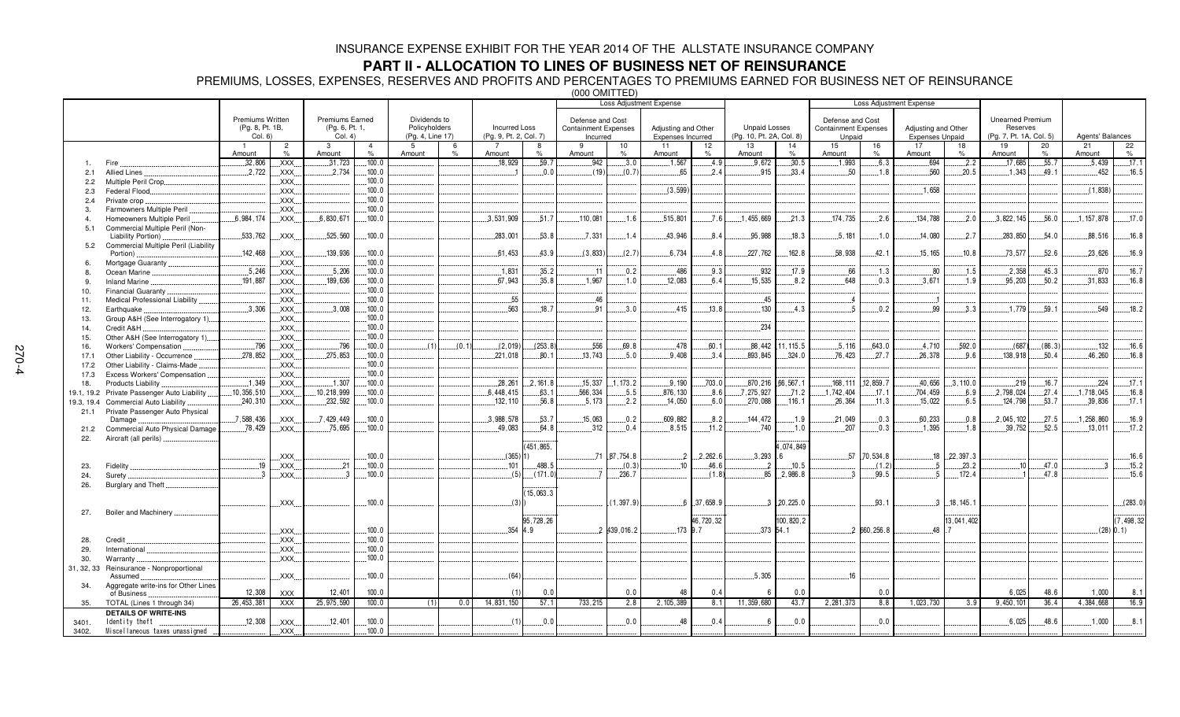### **PART II - ALLOCATION TO LINES OF BUSINESS NET OF REINSURANCE**

PREMIUMS, LOSSES, EXPENSES, RESERVES AND PROFITS AND PERCENTAGES TO PREMIUMS EARNED FOR BUSINESS NET OF REINSURANCE

|            |                                                     |                         |                     |                        |                        |                  | ו שם ה וועוט טטטו<br><b>Loss Adiustment Expense</b> |                        |                    |                                         |              |                                          |              |                          |            |                                       |                 |                                               |            |                         |            |                  |              |
|------------|-----------------------------------------------------|-------------------------|---------------------|------------------------|------------------------|------------------|-----------------------------------------------------|------------------------|--------------------|-----------------------------------------|--------------|------------------------------------------|--------------|--------------------------|------------|---------------------------------------|-----------------|-----------------------------------------------|------------|-------------------------|------------|------------------|--------------|
|            |                                                     |                         |                     |                        |                        |                  |                                                     |                        |                    |                                         |              |                                          |              |                          |            |                                       |                 | <b>Loss Adiustment Expense</b>                |            |                         |            |                  |              |
|            |                                                     | <b>Premiums Written</b> |                     | Premiums Earned        |                        | Dividends to     |                                                     |                        |                    |                                         |              |                                          |              |                          |            |                                       |                 |                                               |            | <b>Unearned Premium</b> |            |                  |              |
|            |                                                     | (Pg. 8, Pt. 1B,         |                     | (Pg. 6, Pt. 1,         |                        | Policyholders    |                                                     | <b>Incurred Loss</b>   |                    | Defense and Cost                        |              |                                          |              | <b>Unpaid Losses</b>     |            | Defense and Cost                      |                 |                                               |            | Reserves                |            |                  |              |
|            |                                                     | Col. 6)                 |                     | Col. 4)                |                        | (Pg. 4, Line 17) |                                                     | (Pg. 9, Pt. 2, Col. 7) |                    | <b>Containment Expenses</b><br>Incurred |              | Adjusting and Other<br>Expenses Incurred |              | (Pg. 10, Pt. 2A, Col. 8) |            | <b>Containment Expenses</b><br>Unpaid |                 | Adiusting and Other<br><b>Expenses Unpaid</b> |            | (Pg. 7, Pt. 1A, Col. 5) |            | Agents' Balances |              |
|            |                                                     |                         |                     |                        |                        |                  |                                                     |                        |                    |                                         |              |                                          |              |                          |            |                                       |                 |                                               |            |                         |            |                  |              |
|            |                                                     |                         | $\overline{2}$      | $\mathbf{3}$<br>Amount | $\overline{4}$<br>$\%$ | -5<br>Amount     | 6<br>$\frac{1}{2}$                                  |                        | 8<br>$\frac{1}{2}$ | 9<br>Amount                             | 10           | 11                                       | 12           | 13                       | 14<br>$\%$ | 15<br>Amount                          | 16<br>$\%$      | 17<br>Amount                                  | 18<br>$\%$ | 19<br>Amount            | 20<br>$\%$ | 21<br>Amount     | 22<br>$\%$   |
|            |                                                     | Amount                  | %                   |                        | 100.0                  |                  |                                                     | Amount<br>18.929       | .59.7              | 942                                     | $\%$<br>.3.0 | Amount<br>1.567                          | $\%$<br>.4.9 | Amount<br>9.672          | .30.5      | .1.993                                | .6.3            | 694                                           | .2.2       |                         | .55.7      | 5.439            | .17.1        |
|            | Fire                                                | .32,806                 | .XXX.               | .31,723                |                        |                  |                                                     |                        |                    |                                         |              |                                          |              |                          |            |                                       |                 |                                               |            | .17,685                 |            |                  |              |
| 2.1        | Allied Lines                                        | 2,722                   | .XXX.               | 2,734                  | 100.0                  |                  |                                                     |                        | 0.0                | (19)                                    | (0.7)        | 65                                       | 2.4          | .915                     | .33.4      | .50                                   | .1.8            | 560                                           | 20.5       | .1.343                  | 49.1       | .452             | 16.5         |
| 2.2        | Multiple Peril Crop                                 |                         | $\overline{X}$ XXX. |                        | 100.0                  |                  |                                                     |                        |                    |                                         |              |                                          |              |                          |            |                                       |                 |                                               |            |                         |            |                  |              |
| 2.3        | Federal Flood.                                      |                         | <b>XXX</b>          |                        | 100.0                  |                  |                                                     |                        |                    |                                         |              | (3, 599)                                 |              |                          |            |                                       |                 | 1.658                                         |            |                         |            | (1,838)          |              |
| 2.4        | Private crop.                                       |                         | XXX.                |                        | 100.0                  |                  |                                                     |                        |                    |                                         |              |                                          |              |                          |            |                                       |                 |                                               |            |                         |            |                  |              |
| 3.         | Farmowners Multiple Peril                           |                         | .XXX.               |                        | 100.0                  |                  |                                                     |                        |                    |                                         |              |                                          |              |                          |            |                                       |                 |                                               |            |                         |            |                  |              |
| 4.         | Homeowners Multiple Peril                           | 6,984,174               | $\mathsf{XXX}$ .    | .6,830,671             | .100.0                 |                  |                                                     | 3.531.909              | .51.7              | .110.081                                | .1.6         | .515.801                                 | .7.6         | .1.455.669               | .21.3      | .174.735                              | .2.6            | 134.788                                       | 2.0        | .3,822,145              | .56.0      | 1, 157, 878      | .17.0        |
| 5.1        | Commercial Multiple Peril (Non-                     |                         |                     |                        |                        |                  |                                                     |                        |                    |                                         |              |                                          |              |                          |            |                                       |                 |                                               |            |                         |            |                  |              |
|            | Liability Portion)                                  | 533,762                 | XXX                 | .525,560               | 100.0                  |                  |                                                     | 283,001                | 53.8               | .7.331                                  | 1.4          | 43.946                                   | 8.4          | 95.988                   | 18.3       | .5,181                                | 1.0             | 14,080                                        | .2.7       | 283,850                 | 54.0       | 88.516           | 16.8         |
| 5.2        | Commercial Multiple Peril (Liability                |                         |                     |                        |                        |                  |                                                     |                        |                    |                                         |              |                                          |              |                          |            |                                       |                 |                                               |            |                         |            |                  |              |
|            | Portion).                                           | 142,468                 | .XXX.               | .139,936               | 100.0                  |                  |                                                     | .61,453                | .43.9              | (3,833)                                 | (2.7)        | .6,734                                   | .4.8         | 227,762                  | 162.8      | 58,938                                | .42.1           | .15, 165                                      | .10.8      | .73,577                 | .52.6      | .23,626          | .16.9        |
| 6.         | Mortgage Guaranty                                   |                         | $\overline{X}$ XXX. |                        | 100.0                  |                  |                                                     |                        |                    |                                         |              |                                          |              |                          |            |                                       |                 |                                               |            |                         |            |                  |              |
| 8.         | Ocean Marine                                        | .5,246                  | XXX.                | .5,206                 | 100.0                  |                  |                                                     | .1,831                 | 35.2               | .11                                     | .0.2         | 486                                      | .9.3         | 932                      | .17.9      | .66                                   | .1.3            | .80                                           | .1.5       | 2,358                   | 45.3       | .870             | .16.7        |
| -9         | <b>Inland Marine</b>                                | 191.887                 | XXX.                | 189.636                | .100.0                 |                  |                                                     | 67.943                 | .35.8              | .1.967                                  | .1.0         | .12,083                                  | 6.4          | 15,535                   | .8.2       | .648                                  | 0.3             | .3,671                                        | .1.9       | 95,203                  | .50.2      | 31.833           | .16.8        |
| 10.        | <b>Financial Guaranty</b>                           |                         | $\mathsf{XXX}$      |                        | 100.0                  |                  |                                                     |                        |                    |                                         |              |                                          |              |                          |            |                                       |                 |                                               |            |                         |            |                  |              |
| 11.        | Medical Professional Liability                      |                         | .XXX.               |                        | 100.0                  |                  |                                                     | .55                    |                    | .46                                     |              |                                          |              | .45                      |            | $\overline{4}$                        |                 |                                               |            |                         |            |                  |              |
| 12.        | Earthquake                                          | .3.306                  | XXX.                | .3.008                 | .100.0                 |                  |                                                     | 563                    | .18.7              | 91                                      | .3.0         | .415                                     | .13.8        | .130                     | 4.3        | 5                                     | .0.2            | 99                                            | 3.3        | .1.779                  | .59.1      | 549              | .18.2        |
| 13.        | Group A&H (See Interrogatory 1)                     |                         | .XXX.               |                        | 100.0                  |                  |                                                     |                        |                    |                                         |              |                                          |              |                          |            |                                       |                 |                                               |            |                         |            |                  |              |
| 14.        | Credit A&H                                          |                         | .XXX.               |                        | 100.0                  |                  |                                                     |                        |                    |                                         |              |                                          |              | .234                     |            |                                       |                 |                                               |            |                         |            |                  |              |
| 15.        | Other A&H (See Interrogatory 1)                     |                         | .XXX.               |                        | 100.0                  |                  |                                                     |                        |                    |                                         |              |                                          |              |                          |            |                                       |                 |                                               |            |                         |            |                  |              |
| 16.        | Workers' Compensation                               | .796                    | XXX.                | .796                   | 100.0                  | (1)              | (0.1)                                               | (2,019)                | (253.8)            | .556                                    | 69.8         | .478                                     | 60.1         | 88,442                   | 11, 115.5  | .5,116                                | .643.0          | .4,710                                        | .592.0     | (687)                   | (86.3)     | 132              | 16.6         |
| 17.1       | Other Liability - Occurrence                        | .278,852                | XXX.                | 275,853                | 100.0                  |                  |                                                     | 221,018                | .80.1              | 13,743                                  | 5.0          | .9,408                                   | 3.4          | 893,845                  | .324.0     | 76,423                                | .27.7           | 26,378                                        | .9.6       | 138,918                 | 50.4       | 46,260           | 16.8         |
| 17.2       | Other Liability - Claims-Made                       |                         | XXX.                |                        | 100.0                  |                  |                                                     |                        |                    |                                         |              |                                          |              |                          |            |                                       |                 |                                               |            |                         |            |                  |              |
| 17.3       | Excess Workers' Compensation                        |                         | XXX.                |                        | 100.0                  |                  |                                                     |                        |                    |                                         |              |                                          |              |                          |            |                                       |                 |                                               |            |                         |            |                  |              |
| 18.        | Products Liability                                  | 1.349                   | XXX.                | 1.307                  | 100.0                  |                  |                                                     | .28.261                | .2.161.8           | .15.337                                 | 1, 173.2     | .9.190                                   | .703.0       | .870,216                 | 66.567.1   | .168.111                              | 12.859.7        | .40,656                                       | .3.110.0   | .219                    | .16.7      | .224             | .17.1        |
| 19.1, 19.2 | Private Passenger Auto Liability                    | 10,356,510              | .XXX.               | 10,218,999             | 100.0                  |                  |                                                     | 6,448,415              | 63.1               | .566,334                                | .5.5         | 876.130                                  | .8.6         | 7,275,927                | .71.2      | 1,742,404                             | .17.1           | .704,459                                      | .6.9       | 2,798,024               | .27.4      | 1,718,045        | .16.8        |
| 19.3, 19.4 | <b>Commercial Auto Liability</b>                    | .240, 310               | XXX.                | .232,592               | 100.0                  |                  |                                                     | 132, 110               | 56.8               | .5.173                                  | .2.2         | .14,050                                  | .6.0         | .270,088                 | .116.1     | .26.364                               | .11.3           | .15,022                                       | 6.5        | 124,798                 | .53.7      | .39,836          | .17.1        |
| 21.1       | Private Passenger Auto Physical                     |                         |                     |                        |                        |                  |                                                     |                        |                    |                                         |              |                                          |              |                          |            |                                       |                 |                                               |            |                         |            |                  |              |
|            | Damage.                                             | .7,588,436              | .XXX.               | .7.429.449             | 100.0                  |                  |                                                     | .3,988,578             | 53.7               | .15,063                                 | .0.2         | .609,882                                 | .8.2         | 144,472                  | 1.9        | .21,049                               | .0.3            | .60, 233                                      | 0.8        | .2,045,102              | .27.5      | 1,258,860        | .16.9        |
| 21.2       | Commercial Auto Physical Damage                     | 78,429                  | XXX.                | .75,695                | 100.0                  |                  |                                                     | 49,083                 | 64.8               | .312                                    | .0.4         | .8,515                                   | .11.2        | .740                     | 1.0        | 207                                   | .0.3            | .1.395                                        | 1.8        | .39,752                 | 52.5       | .13,011          | .17.2        |
| 22.        | Aircraft (all perils)                               |                         |                     |                        |                        |                  |                                                     |                        |                    |                                         |              |                                          |              |                          |            |                                       |                 |                                               |            |                         |            |                  |              |
|            |                                                     |                         |                     |                        |                        |                  |                                                     |                        | (451, 865.         |                                         |              |                                          |              |                          | ,074,849   |                                       |                 |                                               |            |                         |            |                  |              |
|            |                                                     |                         | XXX.                |                        | 100.0                  |                  |                                                     | $(365)$ 1)             |                    |                                         | 71 87.754.8  | $\overline{2}$                           | 2,262.6      | 3,293                    | ĥ          |                                       | $.57$ .70.534.8 | 18                                            | .22,397.3  |                         |            |                  | 16.6         |
| 23.        | Fidelity                                            | .19                     | XXX.                | 21                     | 100.0                  |                  |                                                     | 101                    | 488.5              |                                         | (0.3)        | 10                                       | 46.6         | $\cdot$ 2                | .10.5      |                                       | (1.2)           | -5                                            | .23.2      | 10 <sup>1</sup>         | 47.0       |                  | .15.2        |
| 24.        | Surety                                              |                         | XXX.                |                        | 100.0                  |                  |                                                     | (5)                    | (171.0)            |                                         | 236.7        |                                          | (1.8)        | 85                       | 2,986.8    | -3                                    | 99.5            |                                               | .172.4     |                         | 47.8       |                  | 15.6         |
| 26.        | Burglary and Theft.                                 |                         |                     |                        |                        |                  |                                                     |                        |                    |                                         |              |                                          |              |                          |            |                                       |                 |                                               |            |                         |            |                  |              |
|            |                                                     |                         |                     |                        |                        |                  |                                                     |                        | (15,063.3)         |                                         |              |                                          |              |                          |            |                                       |                 |                                               |            |                         |            |                  |              |
|            |                                                     |                         | .XXX.               |                        | 100.0                  |                  |                                                     | (3)                    |                    |                                         | (1, 397.9)   | 6                                        | .37,658.9    | $\mathbf{R}$             | .20,225.0  |                                       | .93.1           |                                               | .18, 145.  |                         |            |                  | (283.0)      |
| 27.        | <b>Boiler and Machinery</b>                         |                         |                     |                        |                        |                  |                                                     |                        |                    |                                         |              |                                          |              |                          |            |                                       |                 |                                               |            |                         |            |                  |              |
|            |                                                     |                         |                     |                        |                        |                  |                                                     |                        | 95,728,26          |                                         |              |                                          | 46,720,32    |                          | 100,820,2  |                                       |                 |                                               | 13,041,402 |                         |            |                  | (7, 498, 32) |
|            |                                                     |                         | XXX.                |                        | 100.0                  |                  |                                                     |                        | $354 \, 4.9$       |                                         | 2 439.016.2  |                                          | 173 9.7      |                          | $373$ 54.1 |                                       | 2 660.256.8     | 48                                            |            |                         |            |                  | $(28)$ 0.1)  |
| 28.        | Credit                                              |                         | XXX.                |                        | 100.0                  |                  |                                                     |                        |                    |                                         |              |                                          |              |                          |            |                                       |                 |                                               |            |                         |            |                  |              |
| 29.        | International                                       |                         | XXX.                |                        | 100.0                  |                  |                                                     |                        |                    |                                         |              |                                          |              |                          |            |                                       |                 |                                               |            |                         |            |                  |              |
| 30.        | Warranty                                            |                         | $\mathsf{XXX}$      |                        | .100.0                 |                  |                                                     |                        |                    |                                         |              |                                          |              |                          |            |                                       |                 |                                               |            |                         |            |                  |              |
|            |                                                     |                         |                     |                        |                        |                  |                                                     |                        |                    |                                         |              |                                          |              |                          |            |                                       |                 |                                               |            |                         |            |                  |              |
|            | 31, 32, 33 Reinsurance - Nonproportional<br>Assumed |                         | .XXX.               |                        | 100.0                  |                  |                                                     | (64)                   |                    |                                         |              |                                          |              | .5,305                   |            | 16                                    |                 |                                               |            |                         |            |                  |              |
| 34.        | Aggregate write-ins for Other Lines                 |                         |                     |                        |                        |                  |                                                     |                        |                    |                                         |              |                                          |              |                          |            |                                       |                 |                                               |            |                         |            |                  |              |
|            | of Business                                         | 12,308                  | XXX                 | 12,401                 | 100.0                  |                  |                                                     | (1)                    | 0.0                |                                         | 0.0          | 48                                       | 0.4          |                          | 0.0        |                                       | 0.0             |                                               |            | 6,025                   | 48.6       | 1,000            | 8.1          |
| 35.        | TOTAL (Lines 1 through 34)                          | 26.453.381              | <b>XXX</b>          | 25.975.590             | 100.0                  | (1)              | 0.0                                                 | 14,831,150             | 57.1               | 733.215                                 | 2.8          | 2.105.389                                | 8.1          | 11,359,680               | 43.7       | 2.281.373                             | 8.8             | 1.023.730                                     | 3.9        | 9.450.101               | 36.4       | 4.384.668        | 16.9         |
|            | <b>DETAILS OF WRITE-INS</b>                         |                         |                     |                        |                        |                  |                                                     |                        |                    |                                         |              |                                          |              |                          |            |                                       |                 |                                               |            |                         |            |                  |              |
| 3401.      | Identity theft                                      | .12,308                 | $\overline{X}$ XXX  | .12.401                | 100.0                  |                  |                                                     | (1)                    | 0.0                |                                         | 0.0          | 48                                       | .0.4         | - 6                      | 0.0        |                                       | 0.0             |                                               |            | 6,025                   | .48.6      | .1,000           | .8.1         |
| 3402.      | Miscellaneous taxes unassigned                      |                         | <b>XXX</b>          |                        | 100.0                  |                  |                                                     |                        |                    |                                         |              |                                          |              |                          |            |                                       |                 |                                               |            |                         |            |                  |              |
|            |                                                     |                         |                     |                        |                        |                  |                                                     |                        |                    |                                         |              |                                          |              |                          |            |                                       |                 |                                               |            |                         |            |                  |              |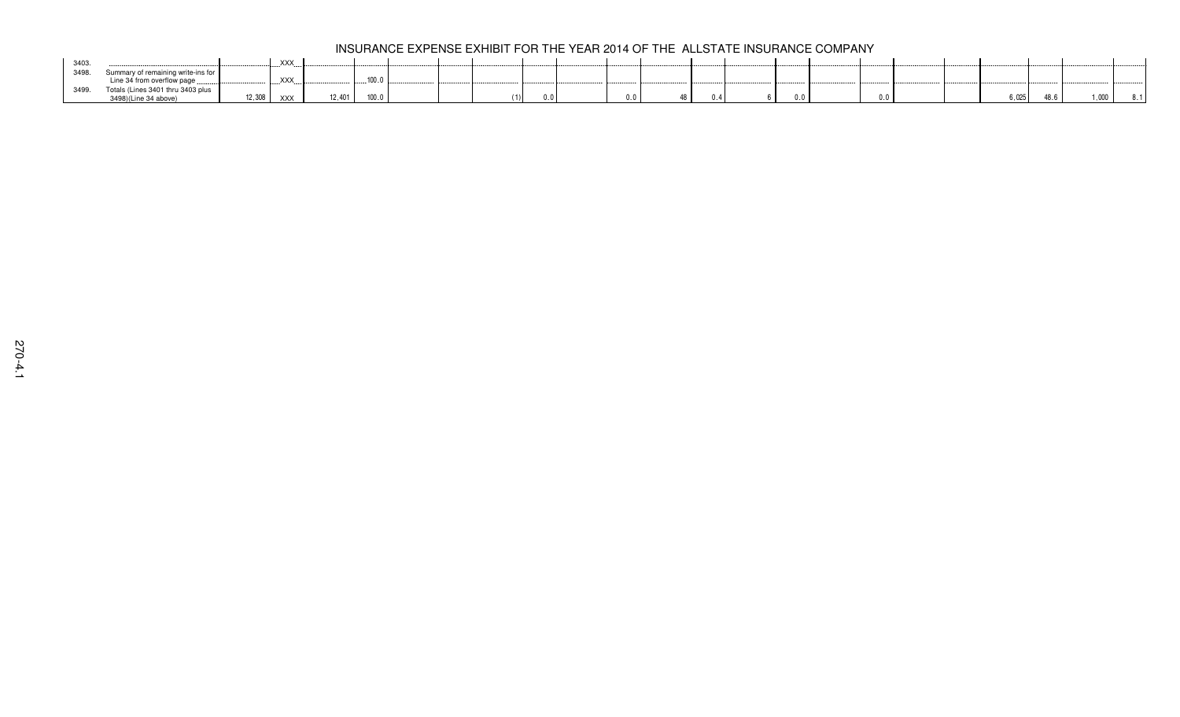|      |                                    |        | <b>XXX</b> |        |                  |  |     |  |  |  |     |       |      |  |
|------|------------------------------------|--------|------------|--------|------------------|--|-----|--|--|--|-----|-------|------|--|
| 3498 | Summary of remaining write-ins for |        |            |        |                  |  |     |  |  |  |     |       |      |  |
|      | Line 34 from overflow page.        |        | .XXX.      |        | 100 <sub>1</sub> |  |     |  |  |  |     |       |      |  |
|      | Totals (Lines 3401 thru 3403 plus  |        |            |        |                  |  |     |  |  |  |     |       |      |  |
|      | 3498)(Line 34 above)               | 12,308 | XXX        | 12.401 | 100.0            |  | 0.0 |  |  |  | 0.0 | 6.025 | .000 |  |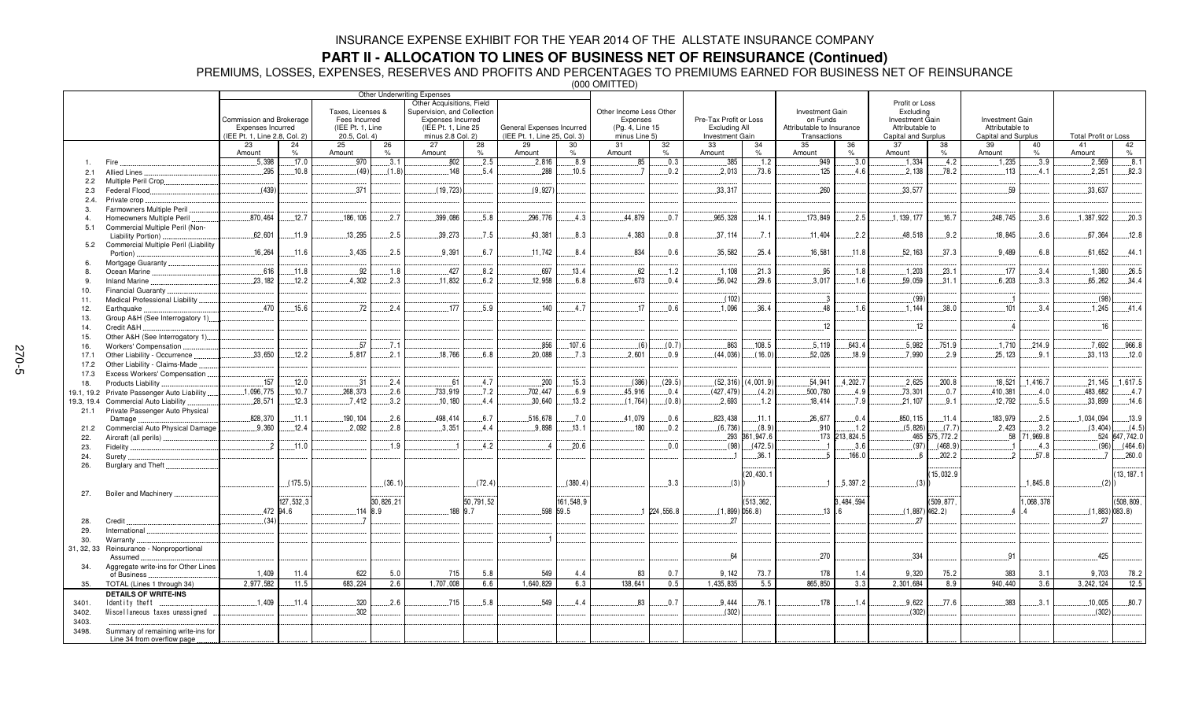## **PART II - ALLOCATION TO LINES OF BUSINESS NET OF REINSURANCE (Continued)**

PREMIUMS, LOSSES, EXPENSES, RESERVES AND PROFITS AND PERCENTAGES TO PREMIUMS EARNED FOR BUSINESS NET OF REINSURANCE

|                |                                      |                                                                                                                                                                             |           |            |            |                                                                                                                                                           |            |                                                           |                     | $\sim$ $\sim$ $\sim$ $\sim$ $\sim$ $\sim$                               |                     |                                                                   |                |                                                                          |                     |                                                                                                 |               |                                                                  |                             |                  |
|----------------|--------------------------------------|-----------------------------------------------------------------------------------------------------------------------------------------------------------------------------|-----------|------------|------------|-----------------------------------------------------------------------------------------------------------------------------------------------------------|------------|-----------------------------------------------------------|---------------------|-------------------------------------------------------------------------|---------------------|-------------------------------------------------------------------|----------------|--------------------------------------------------------------------------|---------------------|-------------------------------------------------------------------------------------------------|---------------|------------------------------------------------------------------|-----------------------------|------------------|
|                |                                      | Taxes, Licenses &<br>Commission and Brokerage<br>Fees Incurred<br>Expenses Incurred<br>(IEE Pt. 1, Line<br>(IEE Pt. 1, Line 2.8, Col. 2)<br>20.5, Col. 4)<br>24<br>25<br>23 |           |            |            | Other Underwriting Expenses<br>Other Acquisitions, Field<br>Supervision, and Collection<br>Expenses Incurred<br>(IEE Pt. 1, Line 25)<br>minus 2.8 Col. 2) |            | General Expenses Incurred<br>(IEE Pt. 1, Line 25, Col. 3) |                     | Other Income Less Other<br>Expenses<br>(Pg. 4, Line 15<br>minus Line 5) |                     | Pre-Tax Profit or Loss<br>Excluding All<br><b>Investment Gain</b> |                | Investment Gain<br>on Funds<br>Attributable to Insurance<br>Transactions |                     | Profit or Loss<br>Excluding<br><b>Investment Gain</b><br>Attributable to<br>Capital and Surplus |               | <b>Investment Gain</b><br>Attributable to<br>Capital and Surplus | <b>Total Profit or Loss</b> |                  |
|                |                                      |                                                                                                                                                                             |           |            |            |                                                                                                                                                           |            |                                                           |                     |                                                                         |                     |                                                                   |                |                                                                          |                     |                                                                                                 |               |                                                                  |                             |                  |
|                |                                      |                                                                                                                                                                             | $\%$      |            | 26<br>$\%$ | 27<br>Amount                                                                                                                                              | 28<br>$\%$ | 29<br>Amount                                              | 30<br>$\frac{9}{6}$ | 31                                                                      | 32<br>$\frac{9}{6}$ | 33<br>Amount                                                      | 34<br>$\%$     | 35<br>Amount                                                             | 36<br>$\frac{1}{2}$ | 37                                                                                              | 38<br>$\%$    | 39<br>40<br>Amount<br>$\%$                                       | 41<br>Amount                | 42<br>$\%$       |
|                |                                      | Amount                                                                                                                                                                      |           | Amount     |            |                                                                                                                                                           |            |                                                           |                     | Amount                                                                  |                     |                                                                   |                |                                                                          |                     | Amount                                                                                          |               |                                                                  |                             |                  |
| 1              | Fire.                                | .5,398                                                                                                                                                                      | .17.0     | .970       | 3.1        | 802                                                                                                                                                       | 2.5        | .2,816                                                    | .8.9                | .85                                                                     | .0.3                | .385                                                              | .1.2           | .949                                                                     | .3.0                | .1.334                                                                                          | 4.2           | .1,235<br>3.9                                                    | .2,569                      | .8.1             |
| 2.1            | Allied Lines                         | .295                                                                                                                                                                        | .10.8     | (49)       | (1.8)      | 148                                                                                                                                                       | .5.4       | .288                                                      | .10.5               |                                                                         | .0.2                | .2.013                                                            | .73.6          | 125                                                                      | 4.6                 | .2.138                                                                                          | .78.2         | .113<br>4.1                                                      | 2.251                       | .82.3            |
| 2.2            | Multiple Peril Crop                  |                                                                                                                                                                             |           |            |            |                                                                                                                                                           |            |                                                           |                     |                                                                         |                     |                                                                   |                |                                                                          |                     |                                                                                                 |               |                                                                  |                             |                  |
| 2.3            | Federal Flood                        | (439)                                                                                                                                                                       |           | .371       |            | (19, 723)                                                                                                                                                 |            | (9.927)                                                   |                     |                                                                         |                     | .33.317                                                           |                | .260                                                                     |                     | .33.577                                                                                         |               | .59                                                              | .33,637                     |                  |
| 2.4.           | Private crop.                        |                                                                                                                                                                             |           |            |            |                                                                                                                                                           |            |                                                           |                     |                                                                         |                     |                                                                   |                |                                                                          |                     |                                                                                                 |               |                                                                  |                             |                  |
| 3.             | Farmowners Multiple Peril            |                                                                                                                                                                             |           |            |            |                                                                                                                                                           |            |                                                           |                     |                                                                         |                     |                                                                   |                |                                                                          |                     |                                                                                                 |               |                                                                  |                             |                  |
| $\overline{4}$ | Homeowners Multiple Peril            | .870.464                                                                                                                                                                    | .12.7     | 186.106    | .2.7       | .399,086                                                                                                                                                  | .5.8       | 296.776                                                   | .4.3                | 44.879                                                                  | 0.7                 | .965.328                                                          | .14.1          | 173,849                                                                  | 2.5                 | 1, 139, 177                                                                                     | .16.7         | 248.745<br>.3.6                                                  | 1,387,922                   | .20.3            |
| 5.1            | Commercial Multiple Peril (Non-      |                                                                                                                                                                             |           |            |            |                                                                                                                                                           |            |                                                           |                     |                                                                         |                     |                                                                   |                |                                                                          |                     |                                                                                                 |               |                                                                  |                             |                  |
|                | Liability Portion)                   | .62,601                                                                                                                                                                     | .11.9     | 13,295     | .2.5       | 39,273                                                                                                                                                    | .7.5       | 43.381                                                    | 8.3                 | .4.383                                                                  | 0.8                 | .37.114                                                           | .7.1           | 11,404                                                                   | 2.2                 | 48,518                                                                                          | 9.2           | 18,845<br>3.6                                                    | 67,364                      | .12.8            |
| 5.2            | Commercial Multiple Peril (Liability |                                                                                                                                                                             |           |            |            |                                                                                                                                                           |            |                                                           |                     |                                                                         |                     |                                                                   |                |                                                                          |                     |                                                                                                 |               |                                                                  |                             |                  |
|                | Portion)                             | .16,264                                                                                                                                                                     | .11.6     | .3.435     | .2.5       | .9.391                                                                                                                                                    | 6.7        | .11.742                                                   | 8.4                 | .834                                                                    | 0.6                 | .35,582                                                           | .25.4          | .16,581                                                                  | .11.8               | .52, 163                                                                                        | .37.3         | .9.489<br>6.8                                                    | 61,652                      | .44.1            |
| 6.             | Mortgage Guaranty.                   |                                                                                                                                                                             |           |            |            |                                                                                                                                                           |            |                                                           |                     |                                                                         |                     |                                                                   |                |                                                                          |                     |                                                                                                 |               |                                                                  |                             |                  |
| 8.             | Ocean Marine                         | 616                                                                                                                                                                         | .11.8     | .92        | .1.8       | .427                                                                                                                                                      | 8.2        | 697                                                       | 13.4                | 62                                                                      | $-1.2$              | .1.108                                                            | .21.3          | .95                                                                      | .1.8                | .1,203                                                                                          | 23.1          | .177<br>3.4                                                      | 1.380                       | .26.5            |
| 9.             | <b>Inland Marine</b>                 | .23,182                                                                                                                                                                     | .12.2     | .4.302     | .2.3       | .11,832                                                                                                                                                   | 6.2        | 12,958                                                    | 6.8                 | 673                                                                     | 0.4                 | .56,042                                                           | 29.6           | .3,017                                                                   | .1.6                | .59,059                                                                                         | .31.1         | .6,203<br>.3.3                                                   | 65,262                      | .34.4            |
|                | Financial Guaranty                   |                                                                                                                                                                             |           |            |            |                                                                                                                                                           |            |                                                           |                     |                                                                         |                     |                                                                   |                |                                                                          |                     |                                                                                                 |               |                                                                  |                             |                  |
| 10.            |                                      |                                                                                                                                                                             |           |            |            |                                                                                                                                                           |            |                                                           |                     |                                                                         |                     | (102)                                                             |                |                                                                          |                     | (99)                                                                                            |               |                                                                  |                             | (98)             |
| 11.            | Medical Professional Liability       |                                                                                                                                                                             |           |            |            |                                                                                                                                                           |            |                                                           |                     |                                                                         |                     |                                                                   |                |                                                                          |                     |                                                                                                 |               |                                                                  |                             |                  |
| 12.            | Earthquake                           | .470                                                                                                                                                                        | .15.6     | .72        | 2.4        | .177                                                                                                                                                      | .5.9       | .140                                                      | .4.7                | 17                                                                      | 0.6                 | .1,096                                                            | .36.4          | .48                                                                      | .1.6                | .1.144                                                                                          | .38.0         | .101<br>3.4                                                      | .1,245                      | .41.4            |
| 13.            | Group A&H (See Interrogatory 1)      |                                                                                                                                                                             |           |            |            |                                                                                                                                                           |            |                                                           |                     |                                                                         |                     |                                                                   |                |                                                                          |                     |                                                                                                 |               |                                                                  |                             |                  |
| 14.            | Credit A&H                           |                                                                                                                                                                             |           |            |            |                                                                                                                                                           |            |                                                           |                     |                                                                         |                     |                                                                   |                | 12                                                                       |                     | 12                                                                                              |               |                                                                  |                             | .16              |
| 15.            | Other A&H (See Interrogatory 1)      |                                                                                                                                                                             |           |            |            |                                                                                                                                                           |            |                                                           |                     |                                                                         |                     |                                                                   |                |                                                                          |                     |                                                                                                 |               |                                                                  |                             |                  |
| 16.            | Workers' Compensation                |                                                                                                                                                                             |           | .57        | . 7.1      |                                                                                                                                                           |            | .856                                                      | .107.6              | (6)                                                                     | (0.7)               | 863                                                               | 108.5          | .5,119                                                                   | 643.4               | .5.982                                                                                          | .751.9        | .1.710<br>.214.9                                                 | .7.692                      | .966.8           |
| 17.1           | Other Liability - Occurrence         | .33,650                                                                                                                                                                     | .12.2     | .5.817     | 2.1        | .18,766                                                                                                                                                   | 6.8        | .20,088                                                   | 7.3                 | .2,601                                                                  | 0.9                 | (44, 036)                                                         | (16.0)         | 52,026                                                                   | 18.9                | .7.990                                                                                          | 2.9           | .25.123<br>9.1                                                   | 33, 113                     | .12.0            |
| 17.2           | Other Liability - Claims-Made        |                                                                                                                                                                             |           |            |            |                                                                                                                                                           |            |                                                           |                     |                                                                         |                     |                                                                   |                |                                                                          |                     |                                                                                                 |               |                                                                  |                             |                  |
| 17.3           | Excess Workers' Compensation         |                                                                                                                                                                             |           |            |            |                                                                                                                                                           |            |                                                           |                     |                                                                         |                     |                                                                   |                |                                                                          |                     |                                                                                                 |               |                                                                  |                             |                  |
| 18.            | Products Liability                   | .157                                                                                                                                                                        | .12.0     | 31         | 2.4        | .61                                                                                                                                                       | .4.7       | .200                                                      | 15.3                | (386)                                                                   | (29.5)              | (52, 316)                                                         | 4,001.9        | .54,941                                                                  | 4,202.7             | 2,625                                                                                           | .200.8        | .18,521<br>.1.416.7                                              | .21,145                     | .1,617.5         |
| 19.1, 19.2     | Private Passenger Auto Liability.    | .1,096,775                                                                                                                                                                  | .10.7     | 268.373    | .2.6       | .733,919                                                                                                                                                  | .7.2       | 702,447                                                   | .6.9                | 45,916                                                                  | 0.4                 | (427, 479)                                                        | (4.2)          | .500,780                                                                 | .4.9                | 73,301                                                                                          | .0.7          | .410,381<br>.4.0                                                 | .483,682                    | 4.7              |
| 19.3, 19.4     | Commercial Auto Liability            | .28,571                                                                                                                                                                     | .12.3     | .7.412     | 3.2        | .10, 180                                                                                                                                                  | .4.4       | .30.640                                                   | .13.2               | (1,764)                                                                 | (0.8)               | .2,693                                                            | .1.2           | .18,414                                                                  | .7.9                | .21,107                                                                                         | 9.1           | .12.792<br>.5.5                                                  | .33,899                     | .14.6            |
|                | Private Passenger Auto Physical      |                                                                                                                                                                             |           |            |            |                                                                                                                                                           |            |                                                           |                     |                                                                         |                     |                                                                   |                |                                                                          |                     |                                                                                                 |               |                                                                  |                             |                  |
| 21.1           | Damage                               | 828.370                                                                                                                                                                     | 11.1      | 190.104    | 2.6        | 498.414                                                                                                                                                   | 6.7        | 516.678                                                   | 7.0                 | 41.079                                                                  | 0.6                 | 823.438                                                           | .11.1          | 26,677                                                                   | 0.4                 | 850.115                                                                                         | 11.4          | 183.979<br>2.5                                                   | 1.034.094                   | 13.9             |
|                |                                      | .9,360                                                                                                                                                                      | .12.4     | .2,092     | .2.8       | .3,351                                                                                                                                                    | .4.4       | .9.898                                                    | .13.1               | .180                                                                    | 0.2                 | (6,736)                                                           | (8.9)          | .910                                                                     | .1.2                | (5,826)                                                                                         | (7.7)         | .2,423<br>.3.2                                                   | (3, 404)                    | (4.5)            |
| 21.2           | Commercial Auto Physical Damage.     |                                                                                                                                                                             |           |            |            |                                                                                                                                                           |            |                                                           |                     |                                                                         |                     |                                                                   | .293 361,947.6 |                                                                          | 173 213,824.5       |                                                                                                 | 465 575,772.2 | .58<br>71,969.8                                                  |                             | 524 647,742.0    |
| 22.            | Aircraft (all perils)                | - 2                                                                                                                                                                         |           |            | .1.9       |                                                                                                                                                           | 4.2        |                                                           | .20.6               |                                                                         | 0.0                 | (98)                                                              |                |                                                                          |                     |                                                                                                 | (468.9)       |                                                                  |                             | (464.6)<br>(96)  |
| 23.            | Fidelity                             |                                                                                                                                                                             | .11.0     |            |            |                                                                                                                                                           |            |                                                           |                     |                                                                         |                     |                                                                   | (472.5)        |                                                                          | .3.6                | (97)                                                                                            |               | .4.3<br>$\overline{2}$                                           |                             |                  |
| 24.            | Surety.                              |                                                                                                                                                                             |           |            |            |                                                                                                                                                           |            |                                                           |                     |                                                                         |                     |                                                                   | .36.1          |                                                                          | .166.0              | - 6                                                                                             | 202.2         | .57.8                                                            |                             | .260.0           |
| 26.            | Burglary and Theft.                  |                                                                                                                                                                             |           |            |            |                                                                                                                                                           |            |                                                           |                     |                                                                         |                     |                                                                   |                |                                                                          |                     |                                                                                                 |               |                                                                  |                             |                  |
|                |                                      |                                                                                                                                                                             |           |            |            |                                                                                                                                                           |            |                                                           |                     |                                                                         |                     |                                                                   | (20, 430.1)    |                                                                          |                     |                                                                                                 | 15.032.9      |                                                                  |                             | 13.187.1         |
|                |                                      |                                                                                                                                                                             | (175.5)   |            | (36.1)     |                                                                                                                                                           | (72.4)     |                                                           | (380.4)             |                                                                         | 3.3                 | (3)                                                               |                |                                                                          | .5.397.2            | (3)                                                                                             |               | .1,845.8                                                         |                             | (2)              |
| 27.            | Boiler and Machinery                 |                                                                                                                                                                             |           |            |            |                                                                                                                                                           |            |                                                           |                     |                                                                         |                     |                                                                   |                |                                                                          |                     |                                                                                                 |               |                                                                  |                             |                  |
|                |                                      |                                                                                                                                                                             | 127,532,3 |            | 30,826,21  |                                                                                                                                                           | 50,791,52  |                                                           | 161,548,9           |                                                                         |                     |                                                                   | (513, 362,     |                                                                          | 3,484,594           |                                                                                                 | (509, 877,    | ,068,378                                                         |                             | (508, 809,       |
|                |                                      |                                                                                                                                                                             | 472 94.6  | $.114$ 8.9 |            | 188 9.7                                                                                                                                                   |            |                                                           | 598 59.5            |                                                                         | $.1$ 224,556.8      | $(1,899)$ 056.8)                                                  |                | $13 \cdot 6$                                                             |                     | $(1,887)$ 462.2)                                                                                |               |                                                                  |                             | $(1,883)$ 083.8) |
| 28.            | Credit.                              | (34)                                                                                                                                                                        |           |            |            |                                                                                                                                                           |            |                                                           |                     |                                                                         |                     | 27                                                                |                |                                                                          |                     | 27                                                                                              |               |                                                                  |                             | 27               |
| 29.            | International                        |                                                                                                                                                                             |           |            |            |                                                                                                                                                           |            |                                                           |                     |                                                                         |                     |                                                                   |                |                                                                          |                     |                                                                                                 |               |                                                                  |                             |                  |
| 30.            | Warranty                             |                                                                                                                                                                             |           |            |            |                                                                                                                                                           |            |                                                           |                     |                                                                         |                     |                                                                   |                |                                                                          |                     |                                                                                                 |               |                                                                  |                             |                  |
| 31, 32, 33     | Reinsurance - Nonproportional        |                                                                                                                                                                             |           |            |            |                                                                                                                                                           |            |                                                           |                     |                                                                         |                     |                                                                   |                |                                                                          |                     |                                                                                                 |               |                                                                  |                             |                  |
|                | Assumed                              |                                                                                                                                                                             |           |            |            |                                                                                                                                                           |            |                                                           |                     |                                                                         |                     | 64                                                                |                | .270                                                                     |                     | .334                                                                                            |               | 91                                                               |                             | 425              |
| 34.            | Aggregate write-ins for Other Lines  |                                                                                                                                                                             |           |            |            |                                                                                                                                                           |            |                                                           |                     |                                                                         |                     |                                                                   |                |                                                                          |                     |                                                                                                 |               |                                                                  |                             |                  |
|                | of Business                          | 1.409                                                                                                                                                                       | 11.4      | 622        | 5.0        | 715                                                                                                                                                       | 5.8        | 549                                                       | 4.4                 | 83                                                                      | 0.7                 | 9.142                                                             | 73.7           | 178                                                                      | 1.4                 | 9,320                                                                                           | 75.2          | 383<br>3.1                                                       | 9,703                       | 78.2             |
| 35.            | TOTAL (Lines 1 through 34)           | 2,977,582                                                                                                                                                                   | 11.5      | 683,224    | 2.6        | 1,707,008                                                                                                                                                 | 6.6        | 1,640,829                                                 | 6.3                 | 138,641                                                                 | 0.5                 | 1,435,835                                                         | 5.5            | 865,850                                                                  | 3.3                 | 2,301,684                                                                                       | 8.9           | 940,440<br>3.6                                                   | 3, 242, 124                 | 12.5             |
|                | <b>DETAILS OF WRITE-INS</b>          |                                                                                                                                                                             |           |            |            |                                                                                                                                                           |            |                                                           |                     |                                                                         |                     |                                                                   |                |                                                                          |                     |                                                                                                 |               |                                                                  |                             |                  |
| 3401.          | Identity theft                       | .1.409                                                                                                                                                                      | .11.4     | .320       | 2.6        | 715                                                                                                                                                       | .5.8       | .549                                                      | .4.4                | .83                                                                     | .0.7                | 9.444                                                             | .76.1          | 178                                                                      | 1.4                 | .9,622                                                                                          | .77.6         | 383<br>.3.1                                                      | .10,005                     | 80.7             |
|                | Miscellaneous taxes unassigned       |                                                                                                                                                                             |           | .302       |            |                                                                                                                                                           |            |                                                           |                     |                                                                         |                     | (302)                                                             |                |                                                                          |                     | (302)                                                                                           |               |                                                                  |                             | (302)            |
| 3402.          |                                      |                                                                                                                                                                             |           |            |            |                                                                                                                                                           |            |                                                           |                     |                                                                         |                     |                                                                   |                |                                                                          |                     |                                                                                                 |               |                                                                  |                             |                  |
| 3403.          |                                      |                                                                                                                                                                             |           |            |            |                                                                                                                                                           |            |                                                           |                     |                                                                         |                     |                                                                   |                |                                                                          |                     |                                                                                                 |               |                                                                  |                             |                  |
| 3498.          | Summary of remaining write-ins for   |                                                                                                                                                                             |           |            |            |                                                                                                                                                           |            |                                                           |                     |                                                                         |                     |                                                                   |                |                                                                          |                     |                                                                                                 |               |                                                                  |                             |                  |
|                | Line 34 from overflow page           |                                                                                                                                                                             |           |            |            |                                                                                                                                                           |            |                                                           |                     |                                                                         |                     |                                                                   |                |                                                                          |                     |                                                                                                 |               |                                                                  |                             |                  |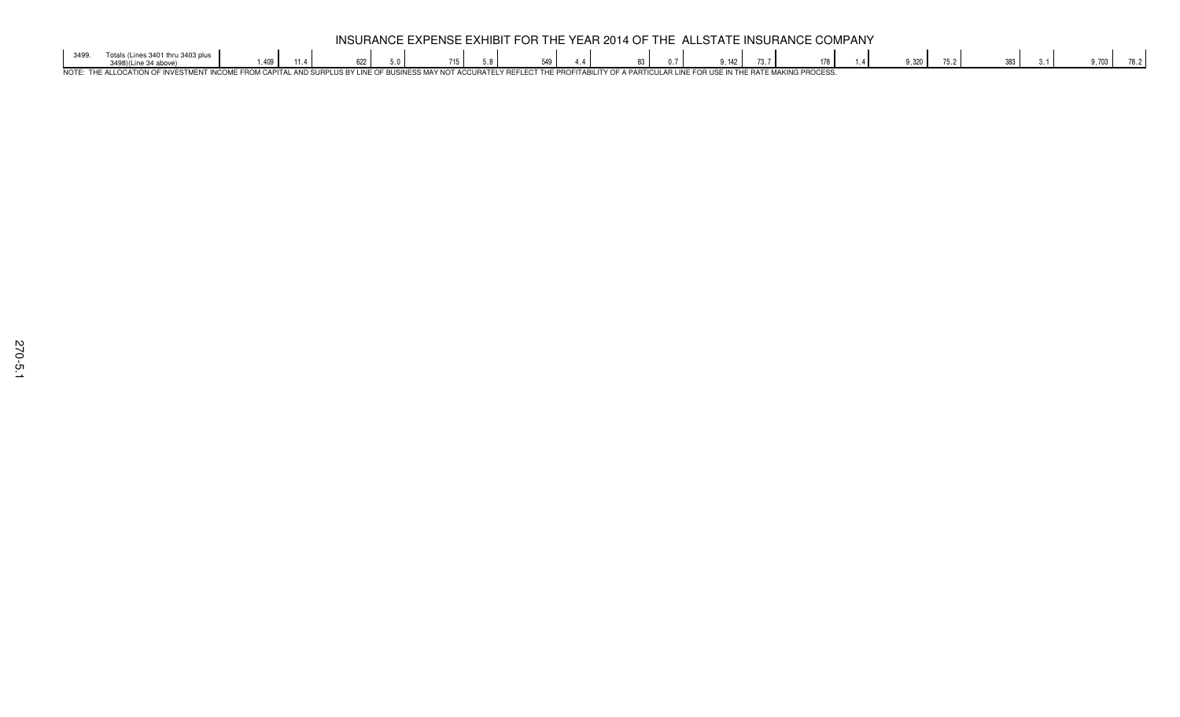|      | INSURANCE EXPENSE EXHIBIT FOR THE YEAR 2014 OF THE ALLSTATE INSURANCE COMPANY                                                                                                                |                         |  |  |  |  |  |  |     |  |  |    |  |  |               |  |     |  |  |       |  |  |  |       |  |
|------|----------------------------------------------------------------------------------------------------------------------------------------------------------------------------------------------|-------------------------|--|--|--|--|--|--|-----|--|--|----|--|--|---------------|--|-----|--|--|-------|--|--|--|-------|--|
| 2400 | Totals (Lines 3401 thru 3403 plus                                                                                                                                                            | $^{\circ}$ $\Lambda$ 00 |  |  |  |  |  |  | 549 |  |  | 83 |  |  | $\bigcap$ 142 |  | 178 |  |  | 9.320 |  |  |  | 1.703 |  |
|      | NOTE: THE ALLOCATION OF INVESTMENT INCOME FROM CAPITAL AND SURPLUS BY LINE OF BUSINESS MAY NOT ACCURATELY REFLECT THE PROFITABILITY OF A PARTICULAR LINE FOR USE IN THE RATE MAKING PROCESS. |                         |  |  |  |  |  |  |     |  |  |    |  |  |               |  |     |  |  |       |  |  |  |       |  |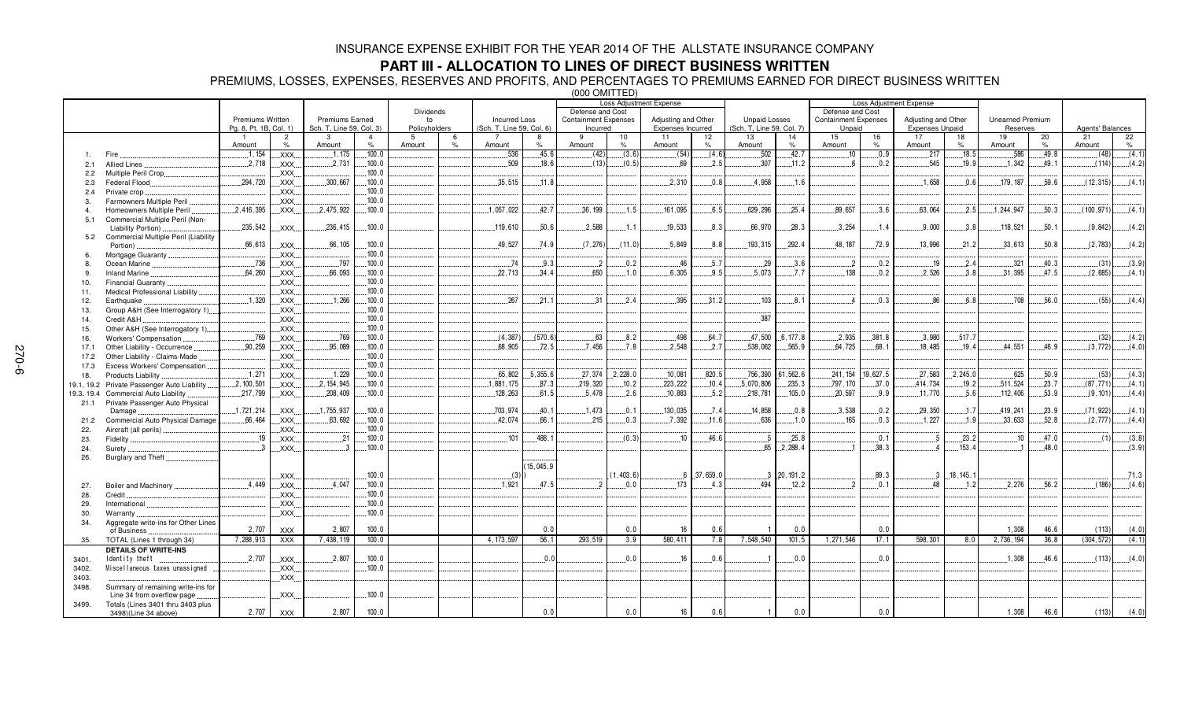### **PART III - ALLOCATION TO LINES OF DIRECT BUSINESS WRITTEN**

PREMIUMS, LOSSES, EXPENSES, RESERVES AND PROFITS, AND PERCENTAGES TO PREMIUMS EARNED FOR DIRECT BUSINESS WRITTEN

|                |                                               |                        |                        |                          |        |               | <b>Loss Adjustment Expense</b> |                           |              |                             |            |                     |                     |                           |                 |                             |            | Loss Adjustment Expense |            |                         |            |                  |            |
|----------------|-----------------------------------------------|------------------------|------------------------|--------------------------|--------|---------------|--------------------------------|---------------------------|--------------|-----------------------------|------------|---------------------|---------------------|---------------------------|-----------------|-----------------------------|------------|-------------------------|------------|-------------------------|------------|------------------|------------|
|                |                                               |                        |                        |                          |        | Dividends     |                                |                           |              | Defense and Cost            |            |                     |                     |                           |                 | Defense and Cost            |            |                         |            |                         |            |                  |            |
|                |                                               | Premiums Written       |                        | Premiums Earned          |        | to            |                                | <b>Incurred Loss</b>      |              | <b>Containment Expenses</b> |            | Adjusting and Other |                     | <b>Unpaid Losses</b>      |                 | <b>Containment Expenses</b> |            | Adjusting and Other     |            | <b>Unearned Premium</b> |            |                  |            |
|                |                                               | Pg. 8, Pt. 1B, Col. 1) |                        | Sch. T, Line 59, Col. 3) |        | Policyholders |                                | (Sch. T, Line 59, Col. 6) |              | Incurred                    |            | Expenses Incurred   |                     | (Sch. T, Line 59, Col. 7) |                 | Unpaid                      |            | <b>Expenses Unpaid</b>  |            | Reserves                |            | Agents' Balances |            |
|                |                                               | Amount                 | $\overline{2}$<br>$\%$ | 3                        | $\%$   | -5            | $\frac{9}{6}$                  |                           |              | 9                           | 10<br>$\%$ | 11                  | 12<br>$\frac{9}{6}$ | 13                        | 14<br>$\%$      | 15                          | 16<br>$\%$ | 17                      | 18<br>$\%$ | 19<br>Amount            | 20<br>$\%$ | 21<br>Amount     | 22<br>$\%$ |
|                |                                               | 1.154                  | XXX.                   | Amount<br>1.175          | .100.0 | Amount        |                                | Amount<br>.536            | $\%$<br>45.6 | Amount<br>(42)              | (3.6)      | Amount              | (4.6)               | Amount<br>.502            | .42.7           | Amount<br>10                | 0.9        | Amount<br>.217          | .18.5      | .586                    | 49.8       | (48)             | (4.1)      |
|                | Fire                                          | .2.718                 |                        | .2.731                   | .100.0 |               |                                | .509                      | .18.6        | (13)                        | (0.5)      | (54)<br>.69         | 2.5                 | .307                      | .11.2           |                             | .0.2       | 545                     | .19.9      | .1.342                  | .49.1      | (114)            | (4.2)      |
| 2.1            | <b>Allied Lines</b><br>Multiple Peril Crop    |                        | XXX.                   |                          | 100.0  |               |                                |                           |              |                             |            |                     |                     |                           |                 |                             |            |                         |            |                         |            |                  |            |
| 2.2<br>2.3     | Federal Flood                                 | .294,720               | XXX.<br>XXX.           | .300,667                 | 100.0  |               |                                | .35.515                   | .11.8        |                             |            | .2.310              | 0.8                 | 4.958                     | .1.6            |                             |            | .1.658                  | 06         | .179.187                | 59.6       | (12, 315)        | (4.1)      |
| 2.4            | Private crop.                                 |                        | XXX.                   |                          | 100.0  |               |                                |                           |              |                             |            |                     |                     |                           |                 |                             |            |                         |            |                         |            |                  |            |
| 3.             | Farmowners Multiple Peril                     |                        | XXX                    |                          | .100.0 |               |                                |                           |              |                             |            |                     |                     |                           |                 |                             |            |                         |            |                         |            |                  |            |
|                | Homeowners Multiple Peril                     | .2,416,395             | XXX.                   | .2,475,922               | .100.0 |               |                                | 1,057,022                 | 42.7         | .36,199                     | .1.5       | 161,095             | 6.5                 | .629,296                  | .25.4           | 89,657                      | .3.6       | .63,064                 | .2.5       | 1,244,947               | .50.3      | (100, 971)       | (4.1)      |
| 5.1            | Commercial Multiple Peril (Non-               |                        |                        |                          |        |               |                                |                           |              |                             |            |                     |                     |                           |                 |                             |            |                         |            |                         |            |                  |            |
|                | Liability Portion)                            | .235,542               | XXX.                   | .236,415                 | .100.0 |               |                                | 119,610                   | .50.6        | .2.588                      | .1.1       | 19,533              | 8.3                 | 66.970                    | .28.3           | .3.254                      | 1.4        | .9,000                  | 3.8        | 118,521                 | .50.1      | (9,842)          | (4.2)      |
| 5.2            | Commercial Multiple Peril (Liability          |                        |                        |                          |        |               |                                |                           |              |                             |            |                     |                     |                           |                 |                             |            |                         |            |                         |            |                  |            |
|                | Portion)                                      | .66,613                | XXX.                   | .66, 105                 | .100.0 |               |                                | 49,527                    | .74.9        | (7,276)                     | (11.0)     | .5.849              | 8.8                 | 193, 315                  | .292.4          | .48, 187                    | .72.9      | .13.996                 | .21.2      | .33,613                 | .50.8      | (2,783)          | (4.2)      |
| 6.             | Mortgage Guaranty.                            |                        | XXX.                   |                          | 100.0  |               |                                |                           |              |                             |            |                     |                     |                           |                 |                             |            |                         |            |                         |            |                  |            |
| 8.             | Ocean Marine                                  | .736                   | XXX.                   | 797                      | .100.0 |               |                                | .74                       | .9.3         | $\cdot$ .2                  | .0.2       | .46                 | .5.7                | .29                       | .3.6            | $\cdot$ 2                   | .0.2       | .19                     | .2.4       | .321                    | .40.3      | (31)             | (3.9)      |
| 9              | <b>Inland Marine</b>                          | .64,260                | <b>XXX</b>             | 66.093                   | 100.0  |               |                                | 22,713                    | 34.4         | 650                         | .1.0       | 6.305               | 9.5                 | 5.073                     | 7.7             | 138                         | 0.2        | 2.526                   | 3.8        | 31.395                  | 47.5       | (2,685)          | (4.1)      |
| 10.            | Financial Guaranty.                           |                        | XXX                    |                          | .100.0 |               |                                |                           |              |                             |            |                     |                     |                           |                 |                             |            |                         |            |                         |            |                  |            |
| 11.            | Medical Professional Liability.               |                        | XXX.                   |                          | .100.0 |               |                                |                           |              |                             |            |                     |                     |                           |                 |                             |            |                         |            |                         |            |                  |            |
| 12.            | Earthquake                                    | 1,320                  | XXX.                   | .1,266                   | .100.0 |               |                                | .267                      | .21.1        | .31                         | .2.4       | .395                | .31.2               | .103                      | .8.1            |                             | .0.3       | .86                     | 6.8        | .708                    | .56.0      | (55)             | (4.4)      |
| 13.            | Group A&H (See Interrogatory 1)               |                        | XXX.                   |                          | .100.0 |               |                                |                           |              |                             |            |                     |                     |                           |                 |                             |            |                         |            |                         |            |                  |            |
| 14.            | Credit A&H                                    |                        | XXX.                   |                          | .100.0 |               |                                |                           |              |                             |            |                     |                     | .387                      |                 |                             |            |                         |            |                         |            |                  |            |
| 15.            | Other A&H (See Interrogatory 1).              |                        | XXX.                   |                          | .100.0 |               |                                |                           |              |                             |            |                     |                     |                           |                 |                             |            |                         |            |                         |            |                  |            |
| 16.            | <b>Workers' Compensation</b>                  | .769                   | XXX.                   | .769                     | .100.0 |               |                                | (4.387)                   | (570.6)      | .63                         | .8.2       | .498                | 64.7                | 47.500                    | 6, 177.8        | 2,935                       | .381.8     | .3.980                  | .517.7     |                         |            | (32)             | (4.2)      |
| 17.1           | Other Liability - Occurrence                  | .90,259                | XXX.                   | .95,089                  | .100.0 |               |                                | .68,905                   | .72.5        | 7.456                       | .7.8       | .2,548              | 2.7                 | .538,062                  | .565.9          | .64,725                     | 68.1       | 18.485                  | 19.4       | .44,551                 | 46.9       | (3,772)          | (4.0)      |
| 17.2           | Other Liability - Claims-Made                 |                        | <b>XXX</b>             |                          | 100.0  |               |                                |                           |              |                             |            |                     |                     |                           |                 |                             |            |                         |            |                         |            |                  |            |
| 17.3           | Excess Workers' Compensation                  |                        | XXX                    |                          | .100.0 |               |                                |                           |              |                             |            |                     |                     |                           |                 |                             |            |                         |            |                         |            |                  |            |
| 18.            | Products Liability                            | .1,271                 | XXX.                   | 1,229                    | .100.0 |               |                                | .65,802                   | .5,355.6     | .27,374                     | .2,228.0   | .10,081             | .820.5              | .756,390                  | .61,562.6       | .241, 154                   | .19,627.5  | .27,583                 | 2,245.0    | 625                     | .50.9      | (53)             | (4.3)      |
| 19.1, 19.2     | Private Passenger Auto Liability              | .2, 100, 501           | XXX.                   | .2.154.945               | .100.0 |               |                                | 1,881,175                 | .87.3        | .219,320                    | .10.2      | 223, 222            | .10.4               | .5,070,806                | .235.3          | .797, 170                   | .37.0      | .414,734                | .19.2      | .511,524                | .23.7      | (87, 771)        | (4.1)      |
| 19.3, 19.4     | Commercial Auto Liability                     | .217,799               | XXX.                   | .208,409                 | 100.0  |               |                                | 128, 263                  | .61.5        | .5.478                      | .2.6       | .10,883             | .5.2                | .218,781                  | .105.0          | .20,597                     | .9.9       | .11,770                 | .5.6       | .112,406                | .53.9      | (9, 101)         | (4.4)      |
| 21.1           | Private Passenger Auto Physical               |                        |                        |                          |        |               |                                |                           |              |                             |            |                     |                     |                           |                 |                             |            |                         |            |                         |            |                  |            |
|                | Damage                                        | .1,721,214             | XXX.                   | 1,755,937                | .100.0 |               |                                | 703,974                   | 40.1         | .1,473                      | .0.1       | 130,035             | 7.4                 | 14,858                    | .0.8            | 3,538                       | .0.2       | .29,350                 | .1.7       | 419,241                 | 23.9       | (71, 922)        | (4.1)      |
| 21.2           | Commercial Auto Physical Damage.              | .66,464                | XXX.                   | .63.692                  | .100.0 |               |                                | .42,074                   | 66.1         | .215                        | .0.3       | .7,392              | .11.6               | .636                      | .1.0            | 165                         | .0.3       | .1,227                  | .1.9       | .33,633                 | .52.8      | (2,777)          | (4.4)      |
| 22.            | Aircraft (all perils)                         |                        | XXX.                   |                          | 100.0  |               |                                |                           |              |                             |            |                     |                     |                           |                 |                             |            |                         |            |                         |            |                  |            |
| 23.            | Fidelity                                      | .19                    | XXX.                   | .21                      | .100.0 |               |                                | .101                      | .488.1       |                             | (0.3)      | .10                 | .46.6               | . 5                       | .25.8           |                             | .0.1       | -5                      | 23.2       | $.10 -$                 | .47.0      | (1)              | (3.8)      |
| 24.            | Surety                                        | 3                      | XXX.                   |                          | .100.0 |               |                                |                           |              |                             |            |                     |                     | 65                        | .2,288.4        |                             | .38.3      |                         | 153.4      |                         | 48.0       |                  | (3.9)      |
| 26.            | Burglary and Theft                            |                        |                        |                          |        |               |                                |                           |              |                             |            |                     |                     |                           |                 |                             |            |                         |            |                         |            |                  |            |
|                |                                               |                        |                        |                          |        |               |                                |                           | 15,045.9     |                             |            |                     |                     |                           |                 |                             |            |                         |            |                         |            |                  |            |
|                |                                               |                        | XXX.                   |                          | .100.0 |               |                                | (3)                       |              |                             | (1, 403.6) | .6                  | .37,659.0           |                           | $.3$ .20, 191.2 |                             | .89.3      | 3                       | 18, 145.   |                         |            |                  | .71.3      |
| 27.            | Boiler and Machinery                          | 4.449                  | XXX.                   | 4.047                    | .100.0 |               |                                | .1.921                    | 47.5         |                             | .0.0       | .173                | 4.3                 | 494                       | 12.2            |                             | .0.1       | 48                      | 1.2        | 2.276                   | .56.2      | (186)            | (4.6)      |
| 28.            | Credit                                        |                        | XXX.                   |                          | .100.0 |               |                                |                           |              |                             |            |                     |                     |                           |                 |                             |            |                         |            |                         |            |                  |            |
| 29.            | International                                 |                        | XXX.                   |                          | .100.0 |               |                                |                           |              |                             |            |                     |                     |                           |                 |                             |            |                         |            |                         |            |                  |            |
| 30.            | Warranty                                      |                        | XXX.                   |                          | 100.0  |               |                                |                           |              |                             |            |                     |                     |                           |                 |                             |            |                         |            |                         |            |                  |            |
| 34.            | Aggregate write-ins for Other Lines           | 2,707                  | <b>XXX</b>             | 2,807                    | 100.0  |               |                                |                           | 0.0          |                             | 0.0        | 16                  | 0.6                 |                           | 0.0             |                             | 0.0        |                         |            | 1,308                   | 46.6       | (113)            | (4.0)      |
|                | of Business                                   | 7.288.913              | <b>XXX</b>             | 7,438,119                | 100.0  |               |                                | 4, 173, 597               | 56.1         | 293.519                     | 3.9        | 580.411             | 7.8                 | 7,548,540                 | 101.5           | 1,271,546                   | 17.1       | 598,301                 | 8.0        | 2,736,194               | 36.8       | (304.572)        | (4.1)      |
| 35.            | TOTAL (Lines 1 through 34)                    |                        |                        |                          |        |               |                                |                           |              |                             |            |                     |                     |                           |                 |                             |            |                         |            |                         |            |                  |            |
|                | <b>DETAILS OF WRITE-INS</b><br>Identity theft | .2,707                 | XXX.                   | .2,807                   | .100.0 |               |                                |                           | .0.0         |                             | .0.0       | 16                  | 0.6                 |                           | .0.0            |                             | 0.0        |                         |            | .1,308                  | .46.6      | (113)            | (4.0)      |
| 3401.          | Miscellaneous taxes unassigned                |                        | XXX.                   |                          | 100.0  |               |                                |                           |              |                             |            |                     |                     |                           |                 |                             |            |                         |            |                         |            |                  |            |
| 3402.<br>3403. |                                               |                        | XXX.                   |                          |        |               |                                |                           |              |                             |            |                     |                     |                           |                 |                             |            |                         |            |                         |            |                  |            |
| 3498.          | Summary of remaining write-ins for            |                        |                        |                          |        |               |                                |                           |              |                             |            |                     |                     |                           |                 |                             |            |                         |            |                         |            |                  |            |
|                | Line 34 from overflow page                    |                        | XXX.                   |                          | .100.0 |               |                                |                           |              |                             |            |                     |                     |                           |                 |                             |            |                         |            |                         |            |                  |            |
| 3499.          | Totals (Lines 3401 thru 3403 plus             |                        |                        |                          |        |               |                                |                           |              |                             |            |                     |                     |                           |                 |                             |            |                         |            |                         |            |                  |            |
|                | 3498)(Line 34 above)                          | 2,707                  | <b>XXX</b>             | 2,807                    | 100.0  |               |                                |                           | 0.0          |                             | 0.0        | 16                  | 0.6                 |                           | 0.0             |                             | 0.0        |                         |            | 1,308                   | 46.6       | (113)            | (4.0)      |